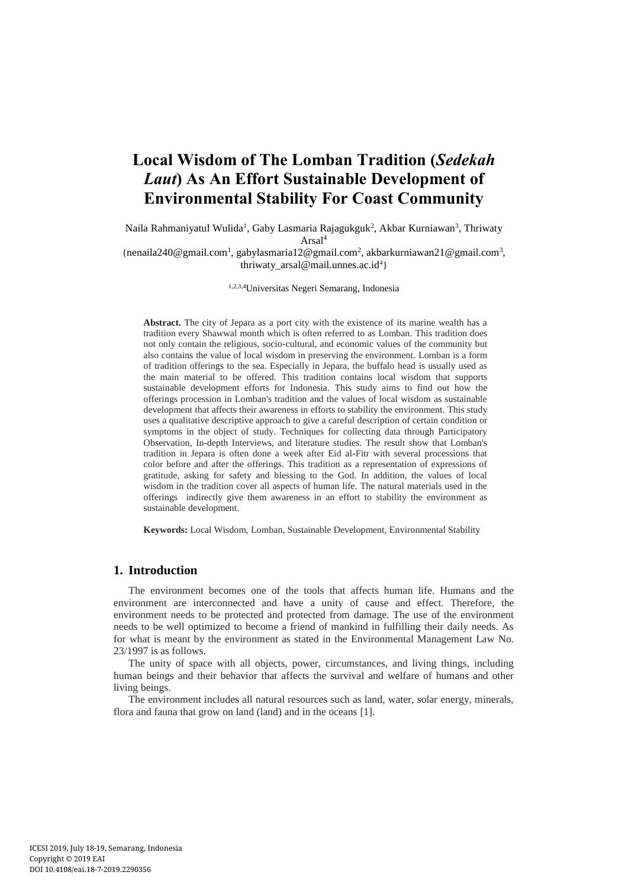# **Local Wisdom of The Lomban Tradition (***Sedekah Laut***) As An Effort Sustainable Development of Environmental Stability For Coast Community**

Naila Rahmaniyatul Wulida<sup>1</sup>, Gaby Lasmaria Rajagukguk<sup>2</sup>, Akbar Kurniawan<sup>3</sup>, Thriwaty Arsal<sup>4</sup>

{[nenaila240@gmail.com](mailto:nenaila240@gmail.com)<sup>1</sup>, [gabylasmaria12@gmail.com](mailto:gabylasmaria12@gmail.com)<sup>2</sup>, [akbarkurniawan21@gmail.com](mailto:akbarkurniawan21@gmail.com)<sup>3</sup>, [thriwaty\\_arsal@mail.unnes.ac.id](mailto:thriwaty_arsal@mail.unnes.ac.id)<sup>4</sup>}

1,2,3,4Universitas Negeri Semarang, Indonesia

**Abstract.** The city of Jepara as a port city with the existence of its marine wealth has a tradition every Shawwal month which is often referred to as Lomban. This tradition does not only contain the religious, socio-cultural, and economic values of the community but also contains the value of local wisdom in preserving the environment. Lomban is a form of tradition offerings to the sea. Especially in Jepara, the buffalo head is usually used as the main material to be offered. This tradition contains local wisdom that supports sustainable development efforts for Indonesia. This study aims to find out how the offerings procession in Lomban's tradition and the values of local wisdom as sustainable development that affects their awareness in efforts to stability the environment. This study uses a qualitative descriptive approach to give a careful description of certain condition or symptoms in the object of study. Techniques for collecting data through Participatory Observation, In-depth Interviews, and literature studies. The result show that Lomban's tradition in Jepara is often done a week after Eid al-Fitr with several processions that color before and after the offerings. This tradition as a representation of expressions of gratitude, asking for safety and blessing to the God. In addition, the values of local wisdom in the tradition cover all aspects of human life. The natural materials used in the offerings indirectly give them awareness in an effort to stability the environment as sustainable development.

**Keywords:** Local Wisdom, Lomban, Sustainable Development, Environmental Stability

# **1. Introduction**

The environment becomes one of the tools that affects human life. Humans and the environment are interconnected and have a unity of cause and effect. Therefore, the environment needs to be protected and protected from damage. The use of the environment needs to be well optimized to become a friend of mankind in fulfilling their daily needs. As for what is meant by the environment as stated in the Environmental Management Law No. 23/1997 is as follows.

The unity of space with all objects, power, circumstances, and living things, including human beings and their behavior that affects the survival and welfare of humans and other living beings.

The environment includes all natural resources such as land, water, solar energy, minerals, flora and fauna that grow on land (land) and in the oceans [1].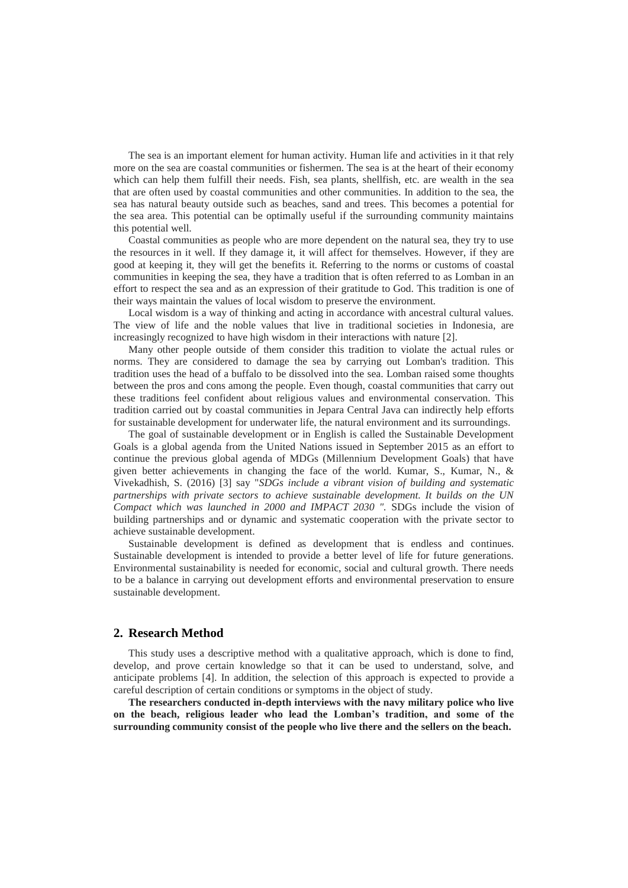The sea is an important element for human activity. Human life and activities in it that rely more on the sea are coastal communities or fishermen. The sea is at the heart of their economy which can help them fulfill their needs. Fish, sea plants, shellfish, etc. are wealth in the sea that are often used by coastal communities and other communities. In addition to the sea, the sea has natural beauty outside such as beaches, sand and trees. This becomes a potential for the sea area. This potential can be optimally useful if the surrounding community maintains this potential well.

Coastal communities as people who are more dependent on the natural sea, they try to use the resources in it well. If they damage it, it will affect for themselves. However, if they are good at keeping it, they will get the benefits it. Referring to the norms or customs of coastal communities in keeping the sea, they have a tradition that is often referred to as Lomban in an effort to respect the sea and as an expression of their gratitude to God. This tradition is one of their ways maintain the values of local wisdom to preserve the environment.

Local wisdom is a way of thinking and acting in accordance with ancestral cultural values. The view of life and the noble values that live in traditional societies in Indonesia, are increasingly recognized to have high wisdom in their interactions with nature [2].

Many other people outside of them consider this tradition to violate the actual rules or norms. They are considered to damage the sea by carrying out Lomban's tradition. This tradition uses the head of a buffalo to be dissolved into the sea. Lomban raised some thoughts between the pros and cons among the people. Even though, coastal communities that carry out these traditions feel confident about religious values and environmental conservation. This tradition carried out by coastal communities in Jepara Central Java can indirectly help efforts for sustainable development for underwater life, the natural environment and its surroundings.

The goal of sustainable development or in English is called the Sustainable Development Goals is a global agenda from the United Nations issued in September 2015 as an effort to continue the previous global agenda of MDGs (Millennium Development Goals) that have given better achievements in changing the face of the world. Kumar, S., Kumar, N., & Vivekadhish, S. (2016) [3] say "*SDGs include a vibrant vision of building and systematic partnerships with private sectors to achieve sustainable development. It builds on the UN Compact which was launched in 2000 and IMPACT 2030 ".* SDGs include the vision of building partnerships and or dynamic and systematic cooperation with the private sector to achieve sustainable development.

Sustainable development is defined as development that is endless and continues. Sustainable development is intended to provide a better level of life for future generations. Environmental sustainability is needed for economic, social and cultural growth. There needs to be a balance in carrying out development efforts and environmental preservation to ensure sustainable development.

#### **2. Research Method**

This study uses a descriptive method with a qualitative approach, which is done to find, develop, and prove certain knowledge so that it can be used to understand, solve, and anticipate problems [4]. In addition, the selection of this approach is expected to provide a careful description of certain conditions or symptoms in the object of study.

**The researchers conducted in-depth interviews with the navy military police who live on the beach, religious leader who lead the Lomban's tradition, and some of the surrounding community consist of the people who live there and the sellers on the beach.**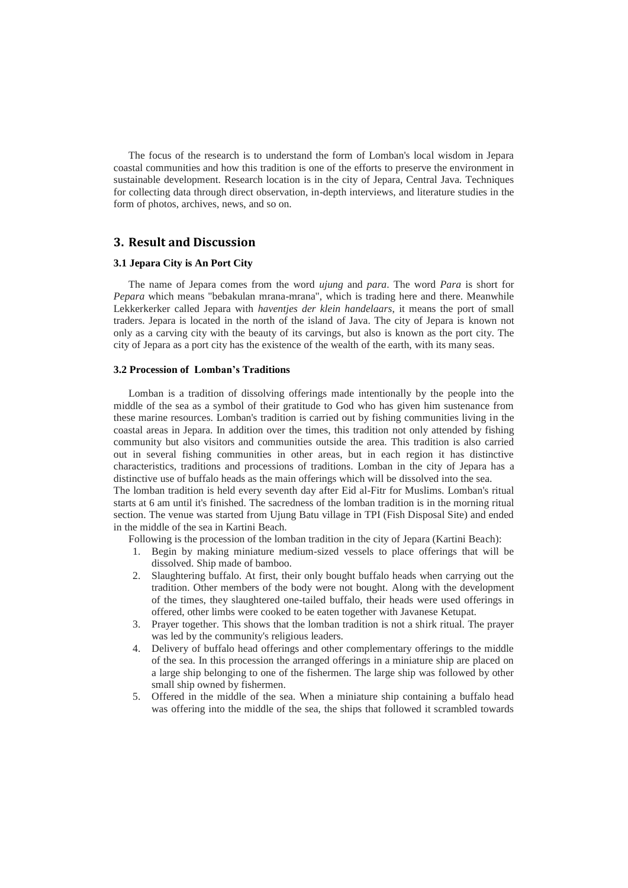The focus of the research is to understand the form of Lomban's local wisdom in Jepara coastal communities and how this tradition is one of the efforts to preserve the environment in sustainable development. Research location is in the city of Jepara, Central Java. Techniques for collecting data through direct observation, in-depth interviews, and literature studies in the form of photos, archives, news, and so on.

# **3. Result and Discussion**

#### **3.1 Jepara City is An Port City**

The name of Jepara comes from the word *ujung* and *para*. The word *Para* is short for *Pepara* which means "bebakulan mrana-mrana", which is trading here and there. Meanwhile Lekkerkerker called Jepara with *haventjes der klein handelaars*, it means the port of small traders. Jepara is located in the north of the island of Java. The city of Jepara is known not only as a carving city with the beauty of its carvings, but also is known as the port city. The city of Jepara as a port city has the existence of the wealth of the earth, with its many seas.

#### **3.2 Procession of Lomban's Traditions**

Lomban is a tradition of dissolving offerings made intentionally by the people into the middle of the sea as a symbol of their gratitude to God who has given him sustenance from these marine resources. Lomban's tradition is carried out by fishing communities living in the coastal areas in Jepara. In addition over the times, this tradition not only attended by fishing community but also visitors and communities outside the area. This tradition is also carried out in several fishing communities in other areas, but in each region it has distinctive characteristics, traditions and processions of traditions. Lomban in the city of Jepara has a distinctive use of buffalo heads as the main offerings which will be dissolved into the sea. The lomban tradition is held every seventh day after Eid al-Fitr for Muslims. Lomban's ritual

starts at 6 am until it's finished. The sacredness of the lomban tradition is in the morning ritual section. The venue was started from Ujung Batu village in TPI (Fish Disposal Site) and ended in the middle of the sea in Kartini Beach.

Following is the procession of the lomban tradition in the city of Jepara (Kartini Beach):

- 1. Begin by making miniature medium-sized vessels to place offerings that will be dissolved. Ship made of bamboo.
- 2. Slaughtering buffalo. At first, their only bought buffalo heads when carrying out the tradition. Other members of the body were not bought. Along with the development of the times, they slaughtered one-tailed buffalo, their heads were used offerings in offered, other limbs were cooked to be eaten together with Javanese Ketupat.
- 3. Prayer together. This shows that the lomban tradition is not a shirk ritual. The prayer was led by the community's religious leaders.
- 4. Delivery of buffalo head offerings and other complementary offerings to the middle of the sea. In this procession the arranged offerings in a miniature ship are placed on a large ship belonging to one of the fishermen. The large ship was followed by other small ship owned by fishermen.
- 5. Offered in the middle of the sea. When a miniature ship containing a buffalo head was offering into the middle of the sea, the ships that followed it scrambled towards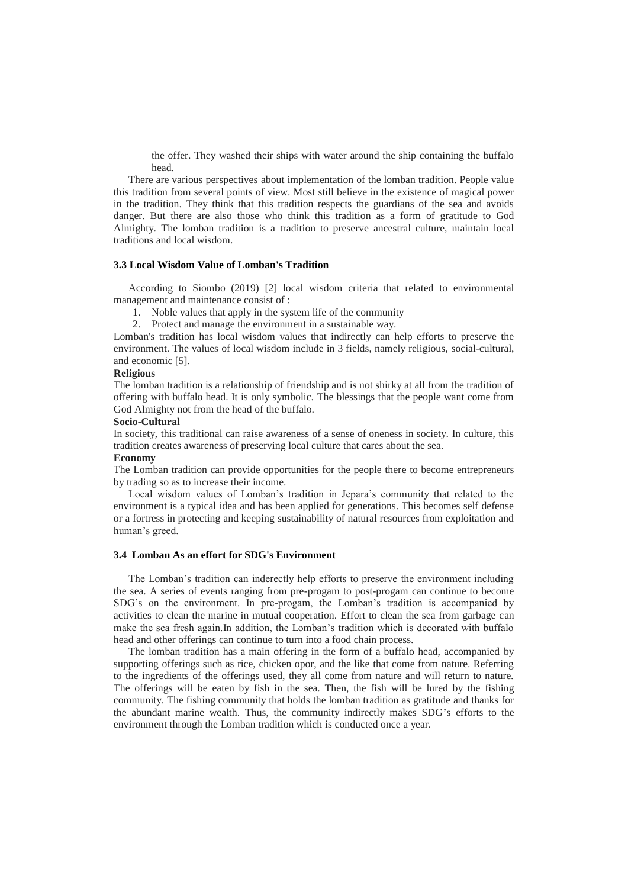the offer. They washed their ships with water around the ship containing the buffalo head.

There are various perspectives about implementation of the lomban tradition. People value this tradition from several points of view. Most still believe in the existence of magical power in the tradition. They think that this tradition respects the guardians of the sea and avoids danger. But there are also those who think this tradition as a form of gratitude to God Almighty. The lomban tradition is a tradition to preserve ancestral culture, maintain local traditions and local wisdom.

#### **3.3 Local Wisdom Value of Lomban's Tradition**

According to Siombo (2019) [2] local wisdom criteria that related to environmental management and maintenance consist of :

- 1. Noble values that apply in the system life of the community
- 2. Protect and manage the environment in a sustainable way.

Lomban's tradition has local wisdom values that indirectly can help efforts to preserve the environment. The values of local wisdom include in 3 fields, namely religious, social-cultural, and economic [5].

#### **Religious**

The lomban tradition is a relationship of friendship and is not shirky at all from the tradition of offering with buffalo head. It is only symbolic. The blessings that the people want come from God Almighty not from the head of the buffalo.

#### **Socio-Cultural**

In society, this traditional can raise awareness of a sense of oneness in society. In culture, this tradition creates awareness of preserving local culture that cares about the sea.

#### **Economy**

The Lomban tradition can provide opportunities for the people there to become entrepreneurs by trading so as to increase their income.

Local wisdom values of Lomban's tradition in Jepara's community that related to the environment is a typical idea and has been applied for generations. This becomes self defense or a fortress in protecting and keeping sustainability of natural resources from exploitation and human's greed.

#### **3.4 Lomban As an effort for SDG's Environment**

The Lomban's tradition can inderectly help efforts to preserve the environment including the sea. A series of events ranging from pre-progam to post-progam can continue to become SDG's on the environment. In pre-progam, the Lomban's tradition is accompanied by activities to clean the marine in mutual cooperation. Effort to clean the sea from garbage can make the sea fresh again.In addition, the Lomban's tradition which is decorated with buffalo head and other offerings can continue to turn into a food chain process.

The lomban tradition has a main offering in the form of a buffalo head, accompanied by supporting offerings such as rice, chicken opor, and the like that come from nature. Referring to the ingredients of the offerings used, they all come from nature and will return to nature. The offerings will be eaten by fish in the sea. Then, the fish will be lured by the fishing community. The fishing community that holds the lomban tradition as gratitude and thanks for the abundant marine wealth. Thus, the community indirectly makes SDG's efforts to the environment through the Lomban tradition which is conducted once a year.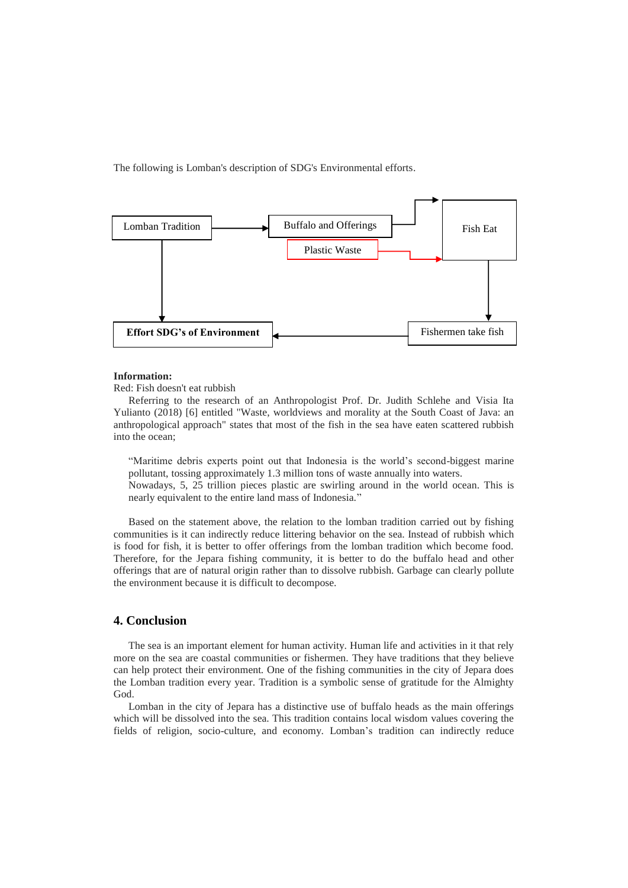The following is Lomban's description of SDG's Environmental efforts.



#### **Information:**

Red: Fish doesn't eat rubbish

Referring to the research of an Anthropologist Prof. Dr. Judith Schlehe and Visia Ita Yulianto (2018) [6] entitled "Waste, worldviews and morality at the South Coast of Java: an anthropological approach" states that most of the fish in the sea have eaten scattered rubbish into the ocean;

"Maritime debris experts point out that Indonesia is the world's second-biggest marine pollutant, tossing approximately 1.3 million tons of waste annually into waters. Nowadays, 5, 25 trillion pieces plastic are swirling around in the world ocean. This is nearly equivalent to the entire land mass of Indonesia."

Based on the statement above, the relation to the lomban tradition carried out by fishing communities is it can indirectly reduce littering behavior on the sea. Instead of rubbish which is food for fish, it is better to offer offerings from the lomban tradition which become food. Therefore, for the Jepara fishing community, it is better to do the buffalo head and other offerings that are of natural origin rather than to dissolve rubbish. Garbage can clearly pollute the environment because it is difficult to decompose.

# **4. Conclusion**

The sea is an important element for human activity. Human life and activities in it that rely more on the sea are coastal communities or fishermen. They have traditions that they believe can help protect their environment. One of the fishing communities in the city of Jepara does the Lomban tradition every year. Tradition is a symbolic sense of gratitude for the Almighty God.

Lomban in the city of Jepara has a distinctive use of buffalo heads as the main offerings which will be dissolved into the sea. This tradition contains local wisdom values covering the fields of religion, socio-culture, and economy. Lomban's tradition can indirectly reduce